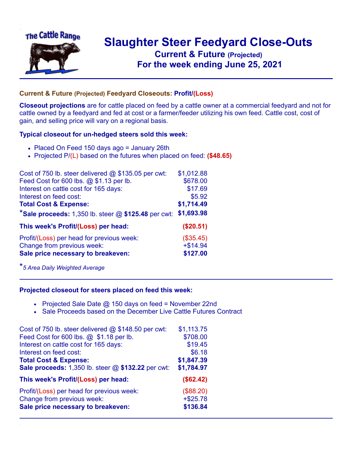

## **Slaughter Steer Feedyard Close-Outs Current & Future (Projected)** .**For the week ending June 25, 2021**

## **Current & Future (Projected) Feedyard Closeouts: Profit/(Loss)**

**Closeout projections** are for cattle placed on feed by a cattle owner at a commercial feedyard and not for cattle owned by a feedyard and fed at cost or a farmer/feeder utilizing his own feed. Cattle cost, cost of gain, and selling price will vary on a regional basis.

## **Typical closeout for un-hedged steers sold this week:**

- Placed On Feed 150 days ago = January 26th
- Projected P/(L) based on the futures when placed on feed: **(\$48.65)**

| Cost of 750 lb. steer delivered $@$ \$135.05 per cwt:    | \$1,012.88 |
|----------------------------------------------------------|------------|
| Feed Cost for 600 lbs. @ \$1.13 per lb.                  | \$678.00   |
| Interest on cattle cost for 165 days:                    | \$17.69    |
| Interest on feed cost:                                   | \$5.92     |
| <b>Total Cost &amp; Expense:</b>                         | \$1,714.49 |
| $*$ Sale proceeds: 1,350 lb. steer $@$ \$125.48 per cwt: | \$1,693.98 |
| This week's Profit/(Loss) per head:                      | (\$20.51)  |
| Profit/(Loss) per head for previous week:                | (\$35.45)  |
| Change from previous week:                               | $+ $14.94$ |
| Sale price necessary to breakeven:                       | \$127.00   |

\**<sup>5</sup> Area Daily Weighted Average*

## **Projected closeout for steers placed on feed this week:**

- Projected Sale Date  $@$  150 days on feed = November 22nd
- Sale Proceeds based on the December Live Cattle Futures Contract

| Cost of 750 lb. steer delivered @ \$148.50 per cwt: | \$1,113.75  |
|-----------------------------------------------------|-------------|
| Feed Cost for 600 lbs. @ \$1.18 per lb.             | \$708.00    |
| Interest on cattle cost for 165 days:               | \$19.45     |
| Interest on feed cost:                              | \$6.18      |
| <b>Total Cost &amp; Expense:</b>                    | \$1,847.39  |
| Sale proceeds: 1,350 lb. steer @ \$132.22 per cwt:  | \$1,784.97  |
| This week's Profit/(Loss) per head:                 | (\$62.42)   |
| Profit/(Loss) per head for previous week:           | (\$88.20)   |
| Change from previous week:                          | $+$ \$25.78 |
| Sale price necessary to breakeven:                  | \$136.84    |